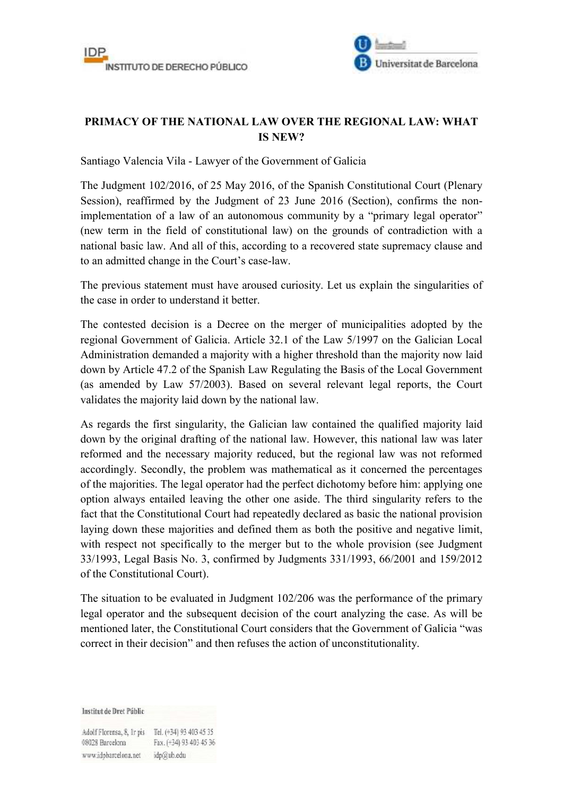



## **PRIMACY OF THE NATIONAL LAW OVER THE REGIONAL LAW: WHAT IS NEW?**

Santiago Valencia Vila - Lawyer of the Government of Galicia

The Judgment 102/2016, of 25 May 2016, of the Spanish Constitutional Court (Plenary Session), reaffirmed by the Judgment of 23 June 2016 (Section), confirms the nonimplementation of a law of an autonomous community by a "primary legal operator" (new term in the field of constitutional law) on the grounds of contradiction with a national basic law. And all of this, according to a recovered state supremacy clause and to an admitted change in the Court's case-law.

The previous statement must have aroused curiosity. Let us explain the singularities of the case in order to understand it better.

The contested decision is a Decree on the merger of municipalities adopted by the regional Government of Galicia. Article 32.1 of the Law 5/1997 on the Galician Local Administration demanded a majority with a higher threshold than the majority now laid down by Article 47.2 of the Spanish Law Regulating the Basis of the Local Government (as amended by Law 57/2003). Based on several relevant legal reports, the Court validates the majority laid down by the national law.

As regards the first singularity, the Galician law contained the qualified majority laid down by the original drafting of the national law. However, this national law was later reformed and the necessary majority reduced, but the regional law was not reformed accordingly. Secondly, the problem was mathematical as it concerned the percentages of the majorities. The legal operator had the perfect dichotomy before him: applying one option always entailed leaving the other one aside. The third singularity refers to the fact that the Constitutional Court had repeatedly declared as basic the national provision laying down these majorities and defined them as both the positive and negative limit, with respect not specifically to the merger but to the whole provision (see Judgment 33/1993, Legal Basis No. 3, confirmed by Judgments 331/1993, 66/2001 and 159/2012 of the Constitutional Court).

The situation to be evaluated in Judgment 102/206 was the performance of the primary legal operator and the subsequent decision of the court analyzing the case. As will be mentioned later, the Constitutional Court considers that the Government of Galicia "was correct in their decision" and then refuses the action of unconstitutionality.

**Institut de Dret Públic** 

Adolf Florensa, 8, Ir pis Tel. (+34) 93 403 45 35 Fax. (+34) 93 403 45 36 08028 Barcelona www.idpbarcelona.net idp@ub.edu